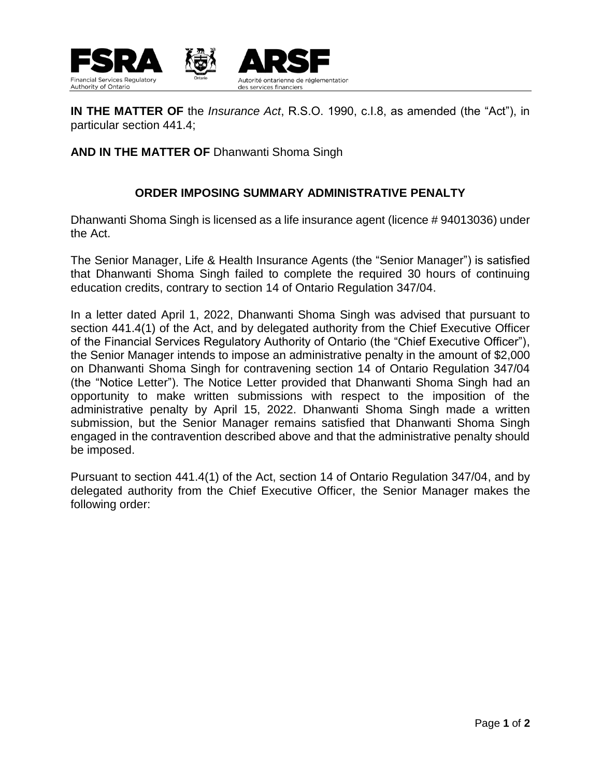

**IN THE MATTER OF** the *Insurance Act*, R.S.O. 1990, c.I.8, as amended (the "Act"), in particular section 441.4;

## **AND IN THE MATTER OF** Dhanwanti Shoma Singh

## **ORDER IMPOSING SUMMARY ADMINISTRATIVE PENALTY**

Dhanwanti Shoma Singh is licensed as a life insurance agent (licence # 94013036) under the Act.

The Senior Manager, Life & Health Insurance Agents (the "Senior Manager") is satisfied that Dhanwanti Shoma Singh failed to complete the required 30 hours of continuing education credits, contrary to section 14 of Ontario Regulation 347/04.

In a letter dated April 1, 2022, Dhanwanti Shoma Singh was advised that pursuant to section 441.4(1) of the Act, and by delegated authority from the Chief Executive Officer of the Financial Services Regulatory Authority of Ontario (the "Chief Executive Officer"), the Senior Manager intends to impose an administrative penalty in the amount of \$2,000 on Dhanwanti Shoma Singh for contravening section 14 of Ontario Regulation 347/04 (the "Notice Letter"). The Notice Letter provided that Dhanwanti Shoma Singh had an opportunity to make written submissions with respect to the imposition of the administrative penalty by April 15, 2022. Dhanwanti Shoma Singh made a written submission, but the Senior Manager remains satisfied that Dhanwanti Shoma Singh engaged in the contravention described above and that the administrative penalty should be imposed.

Pursuant to section 441.4(1) of the Act, section 14 of Ontario Regulation 347/04, and by delegated authority from the Chief Executive Officer, the Senior Manager makes the following order: